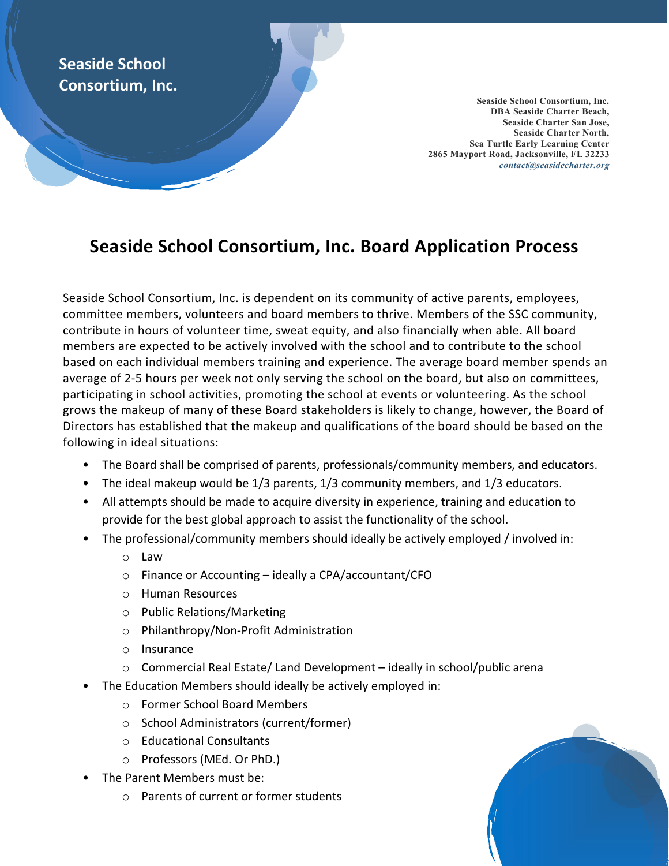## Seaside School Consortium, Inc.

Seaside School Consortium, Inc. DBA Seaside Charter Beach, Seaside Charter San Jose, Seaside Charter North, Sea Turtle Early Learning Center 2865 Mayport Road, Jacksonville, FL 32233 contact@seasidecharter.org

## Seaside School Consortium, Inc. Board Application Process

Seaside School Consortium, Inc. is dependent on its community of active parents, employees, committee members, volunteers and board members to thrive. Members of the SSC community, contribute in hours of volunteer time, sweat equity, and also financially when able. All board members are expected to be actively involved with the school and to contribute to the school based on each individual members training and experience. The average board member spends an average of 2-5 hours per week not only serving the school on the board, but also on committees, participating in school activities, promoting the school at events or volunteering. As the school grows the makeup of many of these Board stakeholders is likely to change, however, the Board of Directors has established that the makeup and qualifications of the board should be based on the following in ideal situations:

- The Board shall be comprised of parents, professionals/community members, and educators.
- The ideal makeup would be 1/3 parents, 1/3 community members, and 1/3 educators.
- All attempts should be made to acquire diversity in experience, training and education to provide for the best global approach to assist the functionality of the school.
- The professional/community members should ideally be actively employed / involved in:
	- o Law
	- o Finance or Accounting ideally a CPA/accountant/CFO
	- o Human Resources
	- o Public Relations/Marketing
	- o Philanthropy/Non-Profit Administration
	- o Insurance
	- o Commercial Real Estate/ Land Development ideally in school/public arena
- The Education Members should ideally be actively employed in:
	- o Former School Board Members
	- o School Administrators (current/former)
	- o Educational Consultants
	- o Professors (MEd. Or PhD.)
- The Parent Members must be:
	- o Parents of current or former students